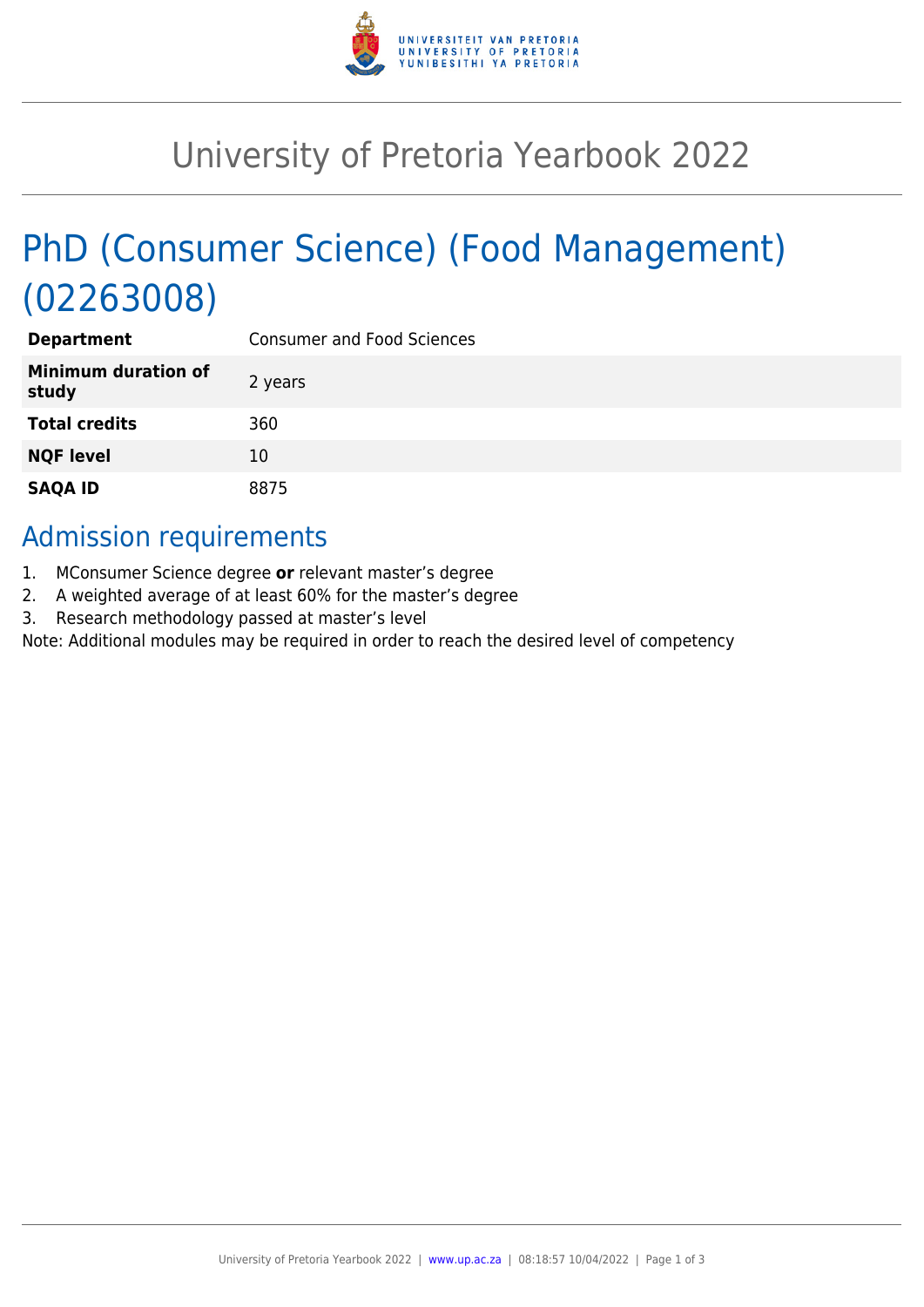

## University of Pretoria Yearbook 2022

# PhD (Consumer Science) (Food Management) (02263008)

| <b>Department</b>                   | <b>Consumer and Food Sciences</b> |
|-------------------------------------|-----------------------------------|
| <b>Minimum duration of</b><br>study | 2 years                           |
| <b>Total credits</b>                | 360                               |
| <b>NQF level</b>                    | 10                                |
| <b>SAQA ID</b>                      | 8875                              |

### Admission requirements

- 1. MConsumer Science degree **or** relevant master's degree
- 2. A weighted average of at least 60% for the master's degree
- 3. Research methodology passed at master's level

Note: Additional modules may be required in order to reach the desired level of competency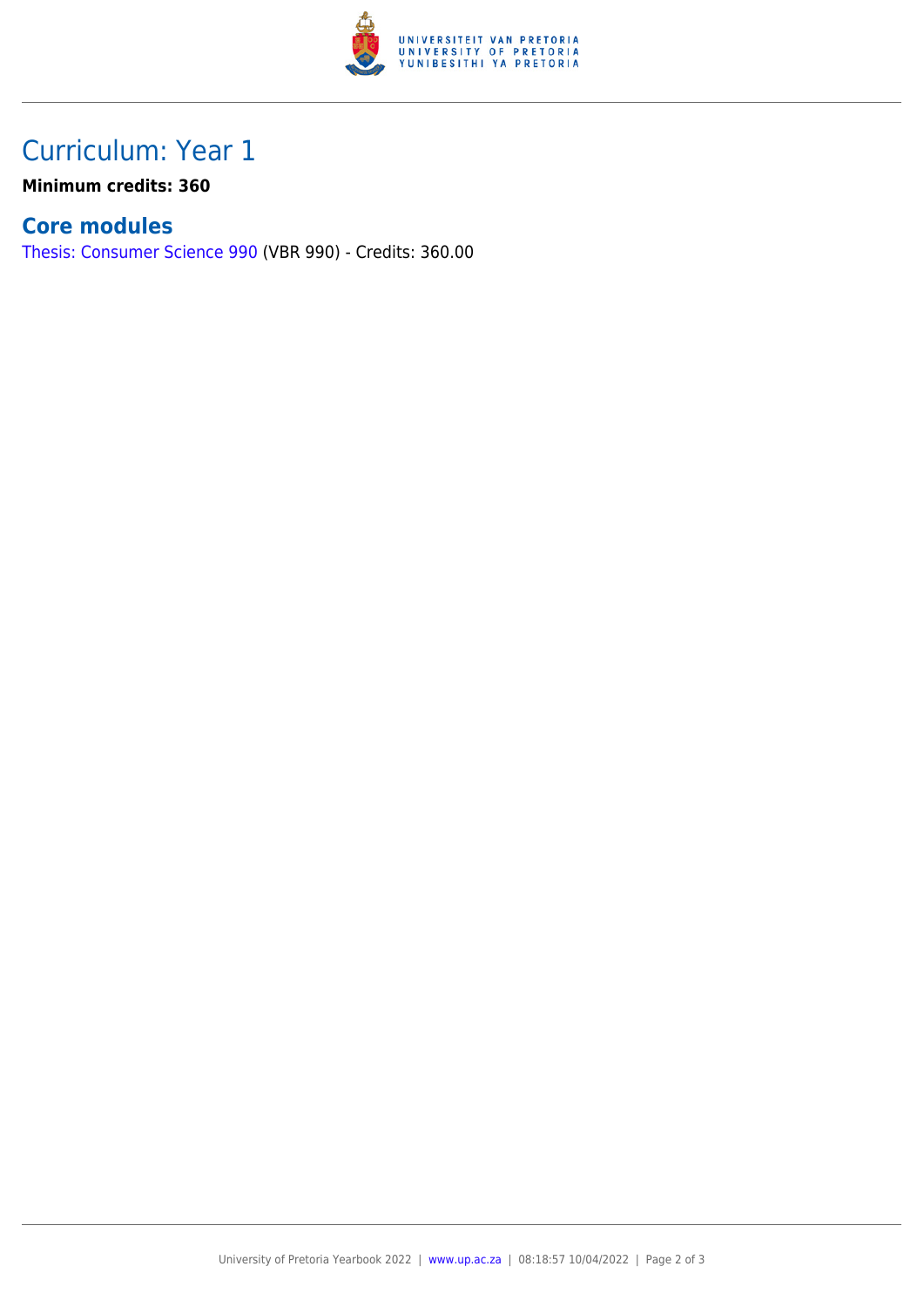

## Curriculum: Year 1

**Minimum credits: 360**

#### **Core modules**

[Thesis: Consumer Science 990](https://www.up.ac.za/yearbooks/2022/modules/view/VBR 990) (VBR 990) - Credits: 360.00